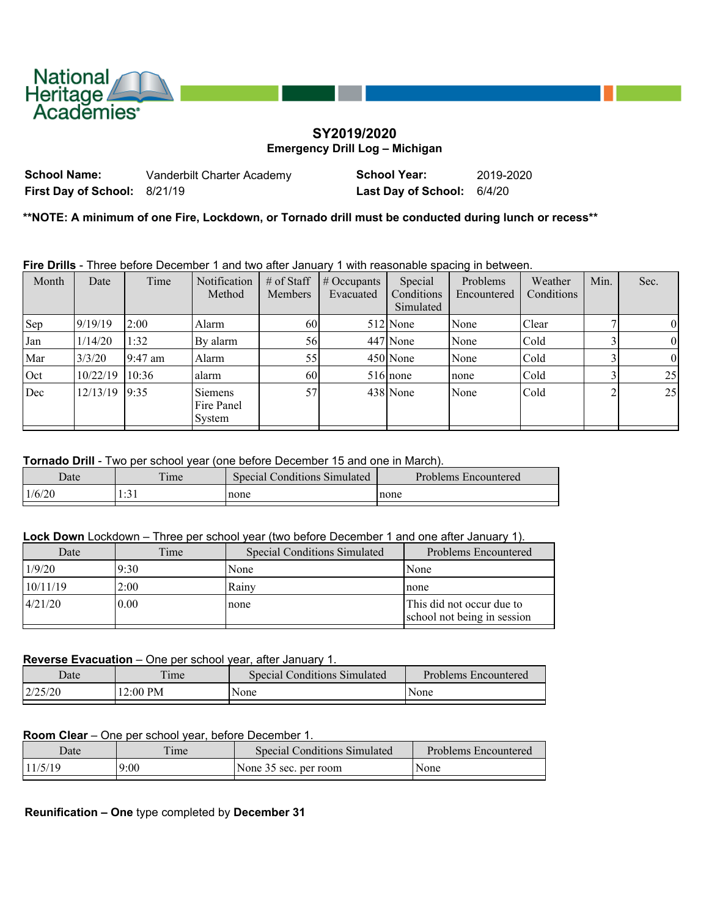

## **SY2019/2020 Emergency Drill Log – Michigan**

**School Name:** Vanderbilt Charter Academy **School Year:** 2019-2020 **First Day of School:** 8/21/19 **Last Day of School:** 6/4/20

**\*\*NOTE: A minimum of one Fire, Lockdown, or Tornado drill must be conducted during lunch or recess\*\***

**Fire Drills** - Three before December 1 and two after January 1 with reasonable spacing in between.

| Month | Date     | Time      | <b>Notification</b><br>Method          | $#$ of Staff<br><b>Members</b> | $\parallel \#$ Occupants<br>Evacuated | Special<br>Conditions<br>Simulated | Problems<br>Encountered | Weather<br>Conditions | Min. | Sec.     |
|-------|----------|-----------|----------------------------------------|--------------------------------|---------------------------------------|------------------------------------|-------------------------|-----------------------|------|----------|
| Sep   | 9/19/19  | 2:00      | Alarm                                  | 60                             |                                       | 512 None                           | None                    | Clear                 |      | 0        |
| Jan   | 1/14/20  | 1:32      | By alarm                               | 56                             |                                       | 447 None                           | None                    | Cold                  |      | $\theta$ |
| Mar   | 3/3/20   | $9:47$ am | Alarm                                  | 55                             |                                       | 450 None                           | None                    | Cold                  |      | $\theta$ |
| Oct   | 10/22/19 | 10:36     | alarm                                  | 60                             |                                       | $516$ none                         | none                    | Cold                  |      | 25       |
| Dec   | 12/13/19 | 9:35      | <b>Siemens</b><br>Fire Panel<br>System | 57                             |                                       | 438 None                           | None                    | Cold                  | ◠    | 25       |

**Tornado Drill** - Two per school year (one before December 15 and one in March).

| Date   | $\mathbf{r}$<br>ime | <b>Special Conditions Simulated</b> | Problems Encountered |
|--------|---------------------|-------------------------------------|----------------------|
| 1/6/20 | $\sim$ $\sim$<br>.  | none                                | none                 |

**Lock Down** Lockdown – Three per school year (two before December 1 and one after January 1).

| Date     | Time | <b>Special Conditions Simulated</b> | Problems Encountered                                     |
|----------|------|-------------------------------------|----------------------------------------------------------|
| 1/9/20   | 9:30 | None                                | None                                                     |
| 10/11/19 | 2:00 | Rainv                               | none                                                     |
| 4/21/20  | 0.00 | none                                | This did not occur due to<br>school not being in session |

## **Reverse Evacuation** – One per school year, after January 1.

| Date     | Time     | Special Conditions Simulated | Problems Encountered |
|----------|----------|------------------------------|----------------------|
| 12/25/20 | 12:00 PM | None                         | None                 |
|          |          |                              |                      |

## **Room Clear** – One per school year, before December 1.

| 11/5/19<br>9:00<br>  None | Date | Time | <b>Special Conditions Simulated</b> | Problems Encountered |
|---------------------------|------|------|-------------------------------------|----------------------|
|                           |      |      | None 35 sec. per room               |                      |

**Reunification – One** type completed by **December 31**